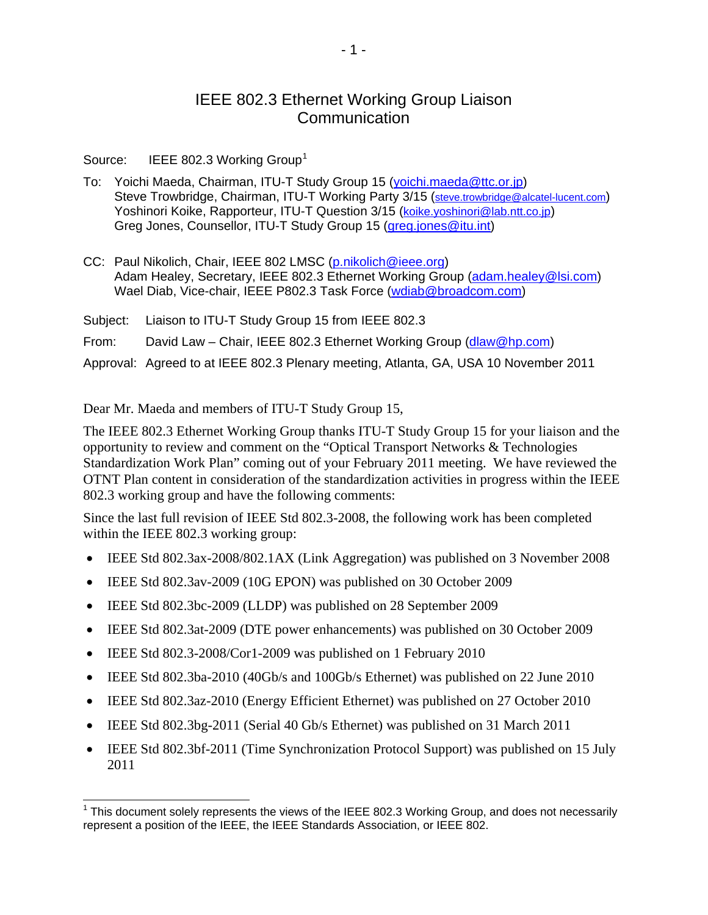## IEEE 802.3 Ethernet Working Group Liaison Communication

Source: IEEE 802.3 Working Group<sup>[1](#page-0-0)</sup>

- To: Yoichi Maeda, Chairman, ITU-T Study Group 15 [\(yoichi.maeda@ttc.or.jp\)](mailto:yoichi.maeda@ttc.or.jp) Steve Trowbridge, Chairman, ITU-T Working Party 3/15 [\(steve.trowbridge@alcatel-lucent.com](mailto:steve.trowbridge@alcatel-lucent.com)) Yoshinori Koike, Rapporteur, ITU-T Question 3/15 ([koike.yoshinori@lab.ntt.co.jp](mailto:koike.yoshinori@lab.ntt.co.jp)) Greg Jones, Counsellor, ITU-T Study Group 15 ([greg.jones@itu.int](mailto:greg.jones@itu.int))
- CC: Paul Nikolich, Chair, IEEE 802 LMSC ([p.nikolich@ieee.org\)](mailto:p.nikolich@ieee.org) Adam Healey, Secretary, IEEE 802.3 Ethernet Working Group [\(adam.healey@lsi.com\)](mailto:adam.healey@lsi.com) Wael Diab, Vice-chair, IEEE P802.3 Task Force ([wdiab@broadcom.com](mailto:wdiab@broadcom.com))

Subject: Liaison to ITU-T Study Group 15 from IEEE 802.3 From: David Law – Chair, IEEE 802.3 Ethernet Working Group [\(dlaw@hp.com\)](mailto:dlaw@hp.com) Approval: Agreed to at IEEE 802.3 Plenary meeting, Atlanta, GA, USA 10 November 2011

Dear Mr. Maeda and members of ITU-T Study Group 15,

The IEEE 802.3 Ethernet Working Group thanks ITU-T Study Group 15 for your liaison and the opportunity to review and comment on the "Optical Transport Networks & Technologies Standardization Work Plan" coming out of your February 2011 meeting. We have reviewed the OTNT Plan content in consideration of the standardization activities in progress within the IEEE 802.3 working group and have the following comments:

Since the last full revision of IEEE Std 802.3-2008, the following work has been completed within the IEEE 802.3 working group:

- IEEE Std 802.3ax-2008/802.1AX (Link Aggregation) was published on 3 November 2008
- IEEE Std 802.3av-2009 (10G EPON) was published on 30 October 2009
- IEEE Std 802.3bc-2009 (LLDP) was published on 28 September 2009
- IEEE Std 802.3at-2009 (DTE power enhancements) was published on 30 October 2009
- IEEE Std 802.3-2008/Cor1-2009 was published on 1 February 2010

 $\overline{a}$ 

- IEEE Std 802.3ba-2010 (40Gb/s and 100Gb/s Ethernet) was published on 22 June 2010
- IEEE Std 802.3az-2010 (Energy Efficient Ethernet) was published on 27 October 2010
- IEEE Std 802.3bg-2011 (Serial 40 Gb/s Ethernet) was published on 31 March 2011
- IEEE Std 802.3bf-2011 (Time Synchronization Protocol Support) was published on 15 July 2011

<span id="page-0-0"></span> $1$  This document solely represents the views of the IEEE 802.3 Working Group, and does not necessarily represent a position of the IEEE, the IEEE Standards Association, or IEEE 802.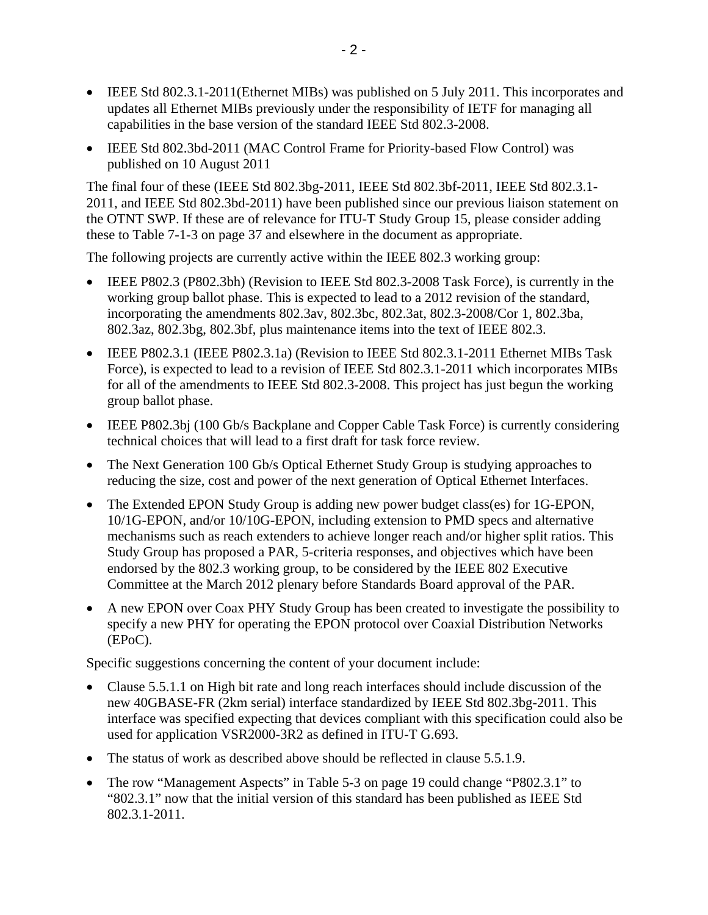- IEEE Std 802.3.1-2011(Ethernet MIBs) was published on 5 July 2011. This incorporates and updates all Ethernet MIBs previously under the responsibility of IETF for managing all capabilities in the base version of the standard IEEE Std 802.3-2008.
- IEEE Std 802.3bd-2011 (MAC Control Frame for Priority-based Flow Control) was published on 10 August 2011

The final four of these (IEEE Std 802.3bg-2011, IEEE Std 802.3bf-2011, IEEE Std 802.3.1- 2011, and IEEE Std 802.3bd-2011) have been published since our previous liaison statement on the OTNT SWP. If these are of relevance for ITU-T Study Group 15, please consider adding these to Table 7-1-3 on page 37 and elsewhere in the document as appropriate.

The following projects are currently active within the IEEE 802.3 working group:

- IEEE P802.3 (P802.3bh) (Revision to IEEE Std 802.3-2008 Task Force), is currently in the working group ballot phase. This is expected to lead to a 2012 revision of the standard, incorporating the amendments 802.3av, 802.3bc, 802.3at, 802.3-2008/Cor 1, 802.3ba, 802.3az, 802.3bg, 802.3bf, plus maintenance items into the text of IEEE 802.3.
- IEEE P802.3.1 (IEEE P802.3.1a) (Revision to IEEE Std 802.3.1-2011 Ethernet MIBs Task Force), is expected to lead to a revision of IEEE Std 802.3.1-2011 which incorporates MIBs for all of the amendments to IEEE Std 802.3-2008. This project has just begun the working group ballot phase.
- IEEE P802.3bj (100 Gb/s Backplane and Copper Cable Task Force) is currently considering technical choices that will lead to a first draft for task force review.
- The Next Generation 100 Gb/s Optical Ethernet Study Group is studying approaches to reducing the size, cost and power of the next generation of Optical Ethernet Interfaces.
- The Extended EPON Study Group is adding new power budget class(es) for 1G-EPON, 10/1G-EPON, and/or 10/10G-EPON, including extension to PMD specs and alternative mechanisms such as reach extenders to achieve longer reach and/or higher split ratios. This Study Group has proposed a PAR, 5-criteria responses, and objectives which have been endorsed by the 802.3 working group, to be considered by the IEEE 802 Executive Committee at the March 2012 plenary before Standards Board approval of the PAR.
- A new EPON over Coax PHY Study Group has been created to investigate the possibility to specify a new PHY for operating the EPON protocol over Coaxial Distribution Networks (EPoC).

Specific suggestions concerning the content of your document include:

- Clause 5.5.1.1 on High bit rate and long reach interfaces should include discussion of the new 40GBASE-FR (2km serial) interface standardized by IEEE Std 802.3bg-2011. This interface was specified expecting that devices compliant with this specification could also be used for application VSR2000-3R2 as defined in ITU-T G.693.
- The status of work as described above should be reflected in clause 5.5.1.9.
- The row "Management Aspects" in Table 5-3 on page 19 could change "P802.3.1" to "802.3.1" now that the initial version of this standard has been published as IEEE Std 802.3.1-2011.